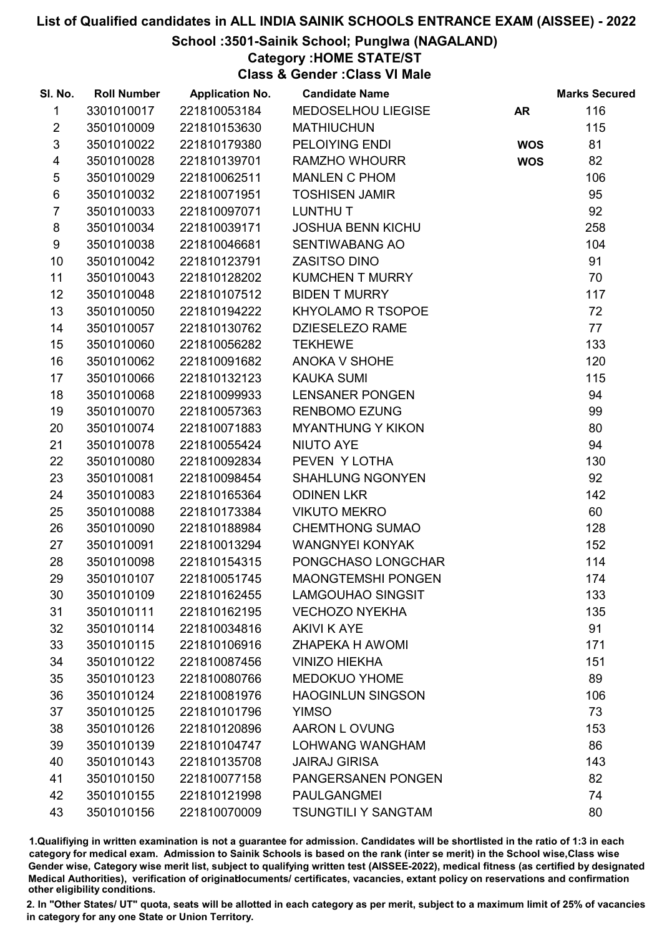#### School :3501-Sainik School; Punglwa (NAGALAND)

#### Category :HOME STATE/ST

Class & Gender :Class VI Male

| SI. No.                 | <b>Roll Number</b> | <b>Application No.</b> | <b>Candidate Name</b>     |            | <b>Marks Secured</b> |
|-------------------------|--------------------|------------------------|---------------------------|------------|----------------------|
| $\mathbf{1}$            | 3301010017         | 221810053184           | MEDOSELHOU LIEGISE        | <b>AR</b>  | 116                  |
| $\overline{2}$          | 3501010009         | 221810153630           | <b>MATHIUCHUN</b>         |            | 115                  |
| $\mathfrak{S}$          | 3501010022         | 221810179380           | PELOIYING ENDI            | <b>WOS</b> | 81                   |
| $\overline{\mathbf{4}}$ | 3501010028         | 221810139701           | <b>RAMZHO WHOURR</b>      | <b>WOS</b> | 82                   |
| $\,$ 5 $\,$             | 3501010029         | 221810062511           | <b>MANLEN C PHOM</b>      |            | 106                  |
| $\,6\,$                 | 3501010032         | 221810071951           | <b>TOSHISEN JAMIR</b>     |            | 95                   |
| $\overline{7}$          | 3501010033         | 221810097071           | LUNTHU T                  |            | 92                   |
| 8                       | 3501010034         | 221810039171           | <b>JOSHUA BENN KICHU</b>  |            | 258                  |
| 9                       | 3501010038         | 221810046681           | <b>SENTIWABANG AO</b>     |            | 104                  |
| 10 <sup>1</sup>         | 3501010042         | 221810123791           | <b>ZASITSO DINO</b>       |            | 91                   |
| 11                      | 3501010043         | 221810128202           | <b>KUMCHEN T MURRY</b>    |            | 70                   |
| 12 <sup>°</sup>         | 3501010048         | 221810107512           | <b>BIDEN T MURRY</b>      |            | 117                  |
| 13                      | 3501010050         | 221810194222           | KHYOLAMO R TSOPOE         |            | 72                   |
| 14                      | 3501010057         | 221810130762           | DZIESELEZO RAME           |            | 77                   |
| 15                      | 3501010060         | 221810056282           | <b>TEKHEWE</b>            |            | 133                  |
| 16                      | 3501010062         | 221810091682           | ANOKA V SHOHE             |            | 120                  |
| 17                      | 3501010066         | 221810132123           | <b>KAUKA SUMI</b>         |            | 115                  |
| 18                      | 3501010068         | 221810099933           | <b>LENSANER PONGEN</b>    |            | 94                   |
| 19                      | 3501010070         | 221810057363           | <b>RENBOMO EZUNG</b>      |            | 99                   |
| 20                      | 3501010074         | 221810071883           | <b>MYANTHUNG Y KIKON</b>  |            | 80                   |
| 21                      | 3501010078         | 221810055424           | NIUTO AYE                 |            | 94                   |
| 22                      | 3501010080         | 221810092834           | PEVEN Y LOTHA             |            | 130                  |
| 23                      | 3501010081         | 221810098454           | <b>SHAHLUNG NGONYEN</b>   |            | 92                   |
| 24                      | 3501010083         | 221810165364           | <b>ODINEN LKR</b>         |            | 142                  |
| 25                      | 3501010088         | 221810173384           | <b>VIKUTO MEKRO</b>       |            | 60                   |
| 26                      | 3501010090         | 221810188984           | <b>CHEMTHONG SUMAO</b>    |            | 128                  |
| 27                      | 3501010091         | 221810013294           | <b>WANGNYEI KONYAK</b>    |            | 152                  |
| 28                      | 3501010098         | 221810154315           | PONGCHASO LONGCHAR        |            | 114                  |
| 29                      | 3501010107         | 221810051745           | <b>MAONGTEMSHI PONGEN</b> |            | 174                  |
| 30                      | 3501010109         | 221810162455           | <b>LAMGOUHAO SINGSIT</b>  |            | 133                  |
| 31                      | 3501010111         | 221810162195           | <b>VECHOZO NYEKHA</b>     |            | 135                  |
| 32                      | 3501010114         | 221810034816           | <b>AKIVI K AYE</b>        |            | 91                   |
| 33                      | 3501010115         | 221810106916           | <b>ZHAPEKA H AWOMI</b>    |            | 171                  |
| 34                      | 3501010122         | 221810087456           | <b>VINIZO HIEKHA</b>      |            | 151                  |
| 35                      | 3501010123         | 221810080766           | MEDOKUO YHOME             |            | 89                   |
| 36                      | 3501010124         | 221810081976           | <b>HAOGINLUN SINGSON</b>  |            | 106                  |
| 37                      | 3501010125         | 221810101796           | <b>YIMSO</b>              |            | 73                   |
| 38                      | 3501010126         | 221810120896           | AARON L OVUNG             |            | 153                  |
| 39                      | 3501010139         | 221810104747           | LOHWANG WANGHAM           |            | 86                   |
| 40                      | 3501010143         | 221810135708           | <b>JAIRAJ GIRISA</b>      |            | 143                  |
| 41                      | 3501010150         | 221810077158           | PANGERSANEN PONGEN        |            | 82                   |
| 42                      | 3501010155         | 221810121998           | <b>PAULGANGMEI</b>        |            | 74                   |
| 43                      | 3501010156         | 221810070009           | TSUNGTILI Y SANGTAM       |            | 80                   |

1.Qualifiying in written examination is not a guarantee for admission. Candidates will be shortlisted in the ratio of 1:3 in each category for medical exam. Admission to Sainik Schools is based on the rank (inter se merit) in the School wise,Class wise Gender wise, Category wise merit list, subject to qualifying written test (AISSEE-2022), medical fitness (as certified by designated Medical Authorities), verification of originablocuments/ certificates, vacancies, extant policy on reservations and confirmation other eligibility conditions.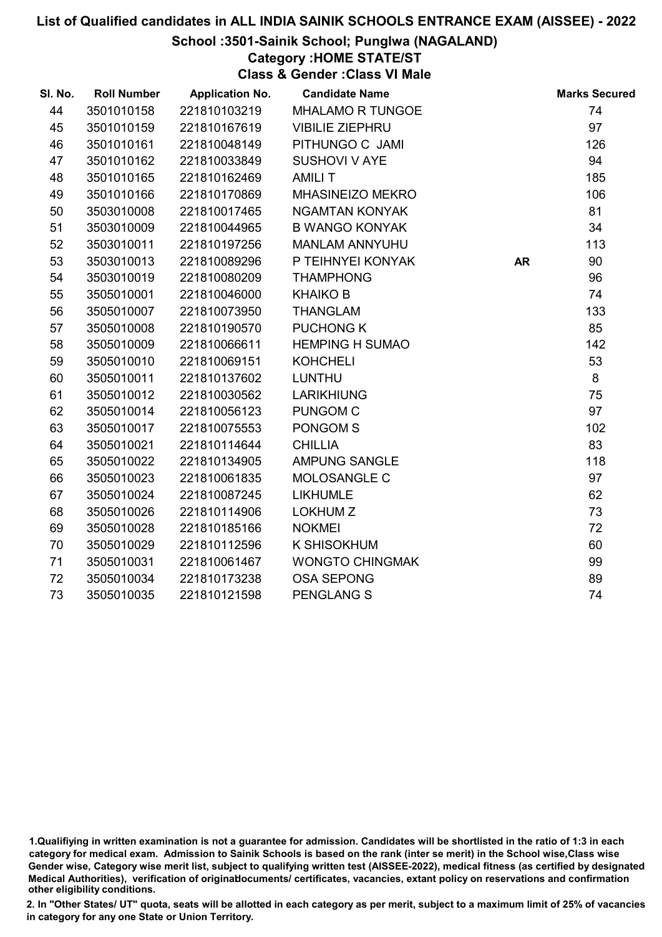#### School :3501-Sainik School; Punglwa (NAGALAND)

### Category :HOME STATE/ST

Class & Gender :Class VI Male

| SI. No. | <b>Roll Number</b> | <b>Application No.</b> | <b>Candidate Name</b>   |           | <b>Marks Secured</b> |
|---------|--------------------|------------------------|-------------------------|-----------|----------------------|
| 44      | 3501010158         | 221810103219           | <b>MHALAMO R TUNGOE</b> |           | 74                   |
| 45      | 3501010159         | 221810167619           | <b>VIBILIE ZIEPHRU</b>  |           | 97                   |
| 46      | 3501010161         | 221810048149           | PITHUNGO C JAMI         |           | 126                  |
| 47      | 3501010162         | 221810033849           | <b>SUSHOVI V AYE</b>    |           | 94                   |
| 48      | 3501010165         | 221810162469           | <b>AMILIT</b>           |           | 185                  |
| 49      | 3501010166         | 221810170869           | MHASINEIZO MEKRO        |           | 106                  |
| 50      | 3503010008         | 221810017465           | <b>NGAMTAN KONYAK</b>   |           | 81                   |
| 51      | 3503010009         | 221810044965           | <b>B WANGO KONYAK</b>   |           | 34                   |
| 52      | 3503010011         | 221810197256           | <b>MANLAM ANNYUHU</b>   |           | 113                  |
| 53      | 3503010013         | 221810089296           | P TEIHNYEI KONYAK       | <b>AR</b> | 90                   |
| 54      | 3503010019         | 221810080209           | <b>THAMPHONG</b>        |           | 96                   |
| 55      | 3505010001         | 221810046000           | <b>KHAIKO B</b>         |           | 74                   |
| 56      | 3505010007         | 221810073950           | <b>THANGLAM</b>         |           | 133                  |
| 57      | 3505010008         | 221810190570           | <b>PUCHONG K</b>        |           | 85                   |
| 58      | 3505010009         | 221810066611           | <b>HEMPING H SUMAO</b>  |           | 142                  |
| 59      | 3505010010         | 221810069151           | <b>KOHCHELI</b>         |           | 53                   |
| 60      | 3505010011         | 221810137602           | <b>LUNTHU</b>           |           | 8                    |
| 61      | 3505010012         | 221810030562           | <b>LARIKHIUNG</b>       |           | 75                   |
| 62      | 3505010014         | 221810056123           | <b>PUNGOM C</b>         |           | 97                   |
| 63      | 3505010017         | 221810075553           | PONGOM <sub>S</sub>     |           | 102                  |
| 64      | 3505010021         | 221810114644           | <b>CHILLIA</b>          |           | 83                   |
| 65      | 3505010022         | 221810134905           | <b>AMPUNG SANGLE</b>    |           | 118                  |
| 66      | 3505010023         | 221810061835           | MOLOSANGLE C            |           | 97                   |
| 67      | 3505010024         | 221810087245           | <b>LIKHUMLE</b>         |           | 62                   |
| 68      | 3505010026         | 221810114906           | LOKHUM Z                |           | 73                   |
| 69      | 3505010028         | 221810185166           | <b>NOKMEI</b>           |           | 72                   |
| 70      | 3505010029         | 221810112596           | <b>K SHISOKHUM</b>      |           | 60                   |
| 71      | 3505010031         | 221810061467           | <b>WONGTO CHINGMAK</b>  |           | 99                   |
| 72      | 3505010034         | 221810173238           | <b>OSA SEPONG</b>       |           | 89                   |
| 73      | 3505010035         | 221810121598           | <b>PENGLANG S</b>       |           | 74                   |

<sup>1.</sup>Qualifiying in written examination is not a guarantee for admission. Candidates will be shortlisted in the ratio of 1:3 in each category for medical exam. Admission to Sainik Schools is based on the rank (inter se merit) in the School wise,Class wise Gender wise, Category wise merit list, subject to qualifying written test (AISSEE-2022), medical fitness (as certified by designated Medical Authorities), verification of originablocuments/ certificates, vacancies, extant policy on reservations and confirmation other eligibility conditions.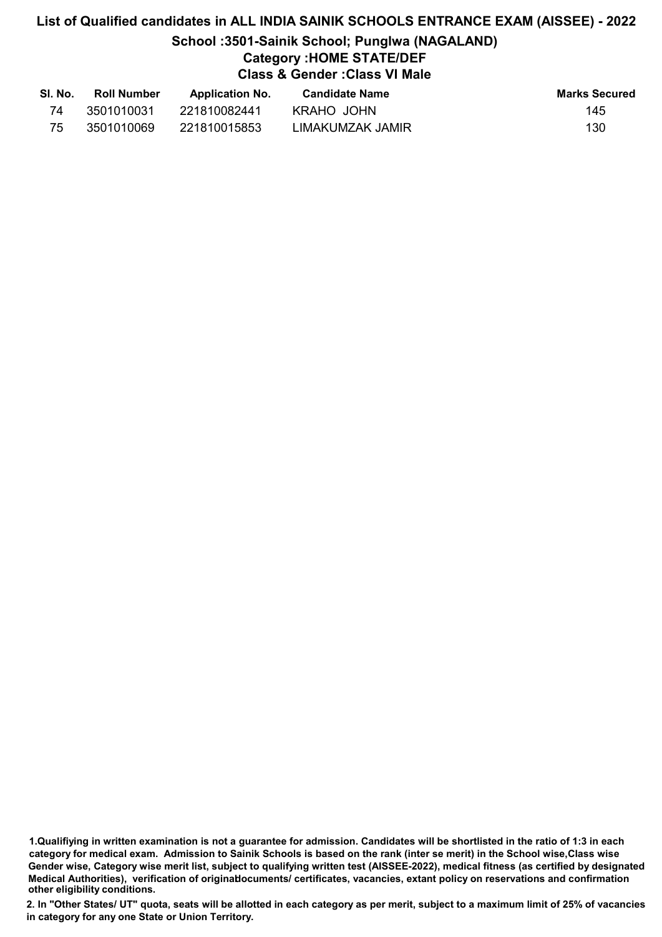## List of Qualified candidates in ALL INDIA SAINIK SCHOOLS ENTRANCE EXAM (AISSEE) - 2022 School :3501-Sainik School; Punglwa (NAGALAND) Category :HOME STATE/DEF Class & Gender :Class VI Male

| SI. No. | <b>Roll Number</b> | <b>Application No.</b> | <b>Candidate Name</b> | <b>Marks Secured</b> |
|---------|--------------------|------------------------|-----------------------|----------------------|
| 74      | 3501010031         | 221810082441           | KRAHO JOHN            | 145                  |
| 75      | 3501010069         | 221810015853           | LIMAKUMZAK JAMIR      | 130                  |

<sup>1.</sup>Qualifiying in written examination is not a guarantee for admission. Candidates will be shortlisted in the ratio of 1:3 in each category for medical exam. Admission to Sainik Schools is based on the rank (inter se merit) in the School wise,Class wise Gender wise, Category wise merit list, subject to qualifying written test (AISSEE-2022), medical fitness (as certified by designated Medical Authorities), verification of originablocuments/ certificates, vacancies, extant policy on reservations and confirmation other eligibility conditions.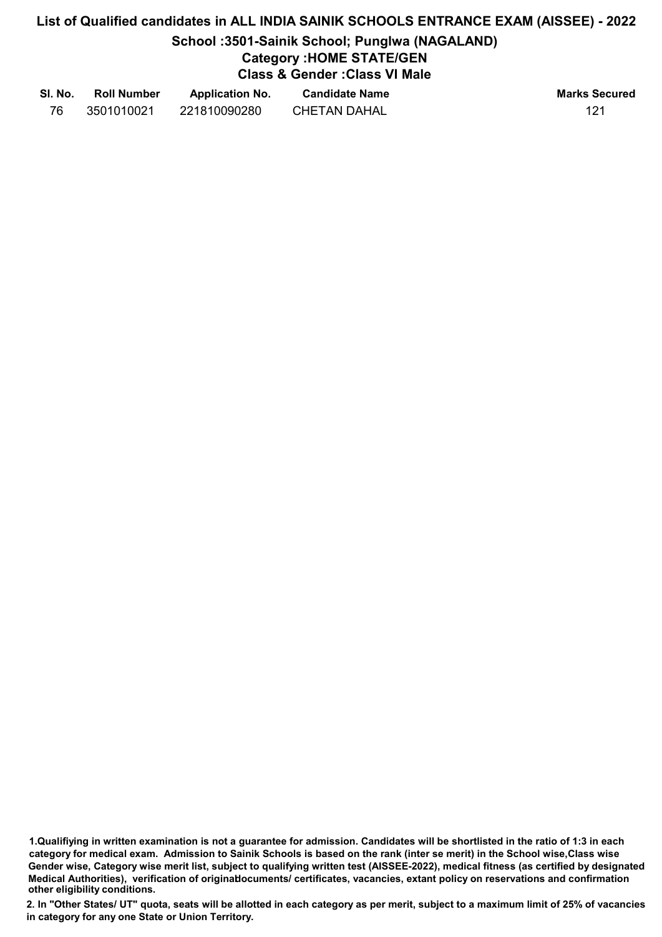## List of Qualified candidates in ALL INDIA SAINIK SCHOOLS ENTRANCE EXAM (AISSEE) - 2022 School :3501-Sainik School; Punglwa (NAGALAND) Category :HOME STATE/GEN Class & Gender :Class VI Male SI. No. Coll Number Application No. Candidate Name Controller Marks Secured

| <u>ul. IV.</u> | וסטוווואו ווטרו | Application No. | <b>Valluluate Natile</b> | Mario vccurcu |
|----------------|-----------------|-----------------|--------------------------|---------------|
| 76             | 3501010021      | 221810090280    | <b>CHETAN DAHAL</b>      | 121           |

<sup>1.</sup>Qualifiying in written examination is not a guarantee for admission. Candidates will be shortlisted in the ratio of 1:3 in each category for medical exam. Admission to Sainik Schools is based on the rank (inter se merit) in the School wise,Class wise Gender wise, Category wise merit list, subject to qualifying written test (AISSEE-2022), medical fitness (as certified by designated Medical Authorities), verification of originablocuments/ certificates, vacancies, extant policy on reservations and confirmation other eligibility conditions.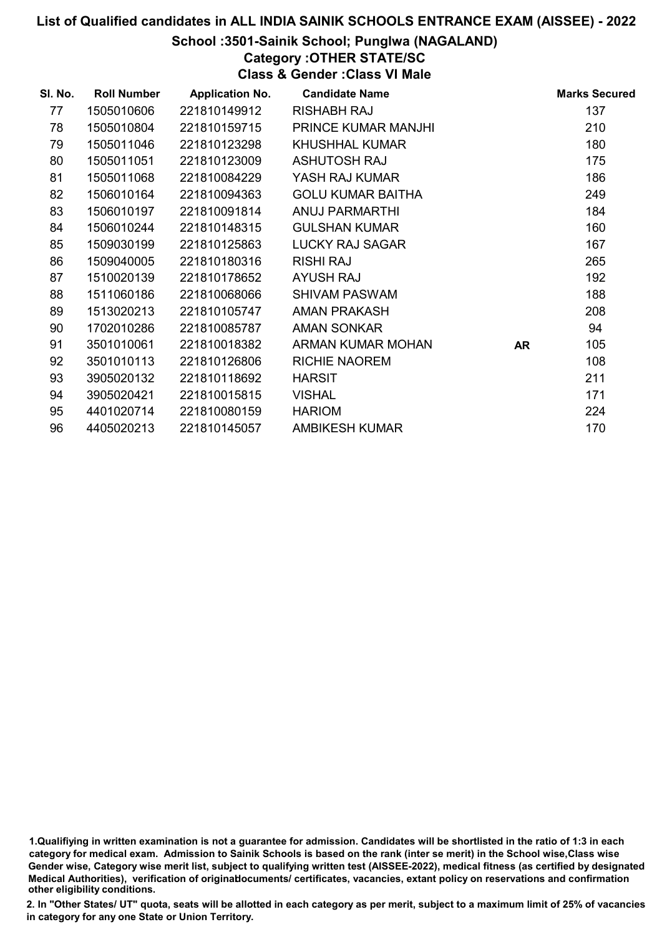#### School :3501-Sainik School; Punglwa (NAGALAND)

Category :OTHER STATE/SC

Class & Gender :Class VI Male

| SI. No. | <b>Roll Number</b> | <b>Application No.</b> | <b>Candidate Name</b>    |           | <b>Marks Secured</b> |
|---------|--------------------|------------------------|--------------------------|-----------|----------------------|
| 77      | 1505010606         | 221810149912           | <b>RISHABH RAJ</b>       |           | 137                  |
| 78      | 1505010804         | 221810159715           | PRINCE KUMAR MANJHI      |           | 210                  |
| 79      | 1505011046         | 221810123298           | <b>KHUSHHAL KUMAR</b>    |           | 180                  |
| 80      | 1505011051         | 221810123009           | <b>ASHUTOSH RAJ</b>      |           | 175                  |
| 81      | 1505011068         | 221810084229           | YASH RAJ KUMAR           |           | 186                  |
| 82      | 1506010164         | 221810094363           | <b>GOLU KUMAR BAITHA</b> |           | 249                  |
| 83      | 1506010197         | 221810091814           | <b>ANUJ PARMARTHI</b>    |           | 184                  |
| 84      | 1506010244         | 221810148315           | <b>GULSHAN KUMAR</b>     |           | 160                  |
| 85      | 1509030199         | 221810125863           | LUCKY RAJ SAGAR          |           | 167                  |
| 86      | 1509040005         | 221810180316           | <b>RISHI RAJ</b>         |           | 265                  |
| 87      | 1510020139         | 221810178652           | <b>AYUSH RAJ</b>         |           | 192                  |
| 88      | 1511060186         | 221810068066           | <b>SHIVAM PASWAM</b>     |           | 188                  |
| 89      | 1513020213         | 221810105747           | <b>AMAN PRAKASH</b>      |           | 208                  |
| 90      | 1702010286         | 221810085787           | <b>AMAN SONKAR</b>       |           | 94                   |
| 91      | 3501010061         | 221810018382           | ARMAN KUMAR MOHAN        | <b>AR</b> | 105                  |
| 92      | 3501010113         | 221810126806           | <b>RICHIE NAOREM</b>     |           | 108                  |
| 93      | 3905020132         | 221810118692           | <b>HARSIT</b>            |           | 211                  |
| 94      | 3905020421         | 221810015815           | <b>VISHAL</b>            |           | 171                  |
| 95      | 4401020714         | 221810080159           | <b>HARIOM</b>            |           | 224                  |
| 96      | 4405020213         | 221810145057           | <b>AMBIKESH KUMAR</b>    |           | 170                  |

1.Qualifiying in written examination is not a guarantee for admission. Candidates will be shortlisted in the ratio of 1:3 in each category for medical exam. Admission to Sainik Schools is based on the rank (inter se merit) in the School wise,Class wise Gender wise, Category wise merit list, subject to qualifying written test (AISSEE-2022), medical fitness (as certified by designated Medical Authorities), verification of originablocuments/ certificates, vacancies, extant policy on reservations and confirmation other eligibility conditions.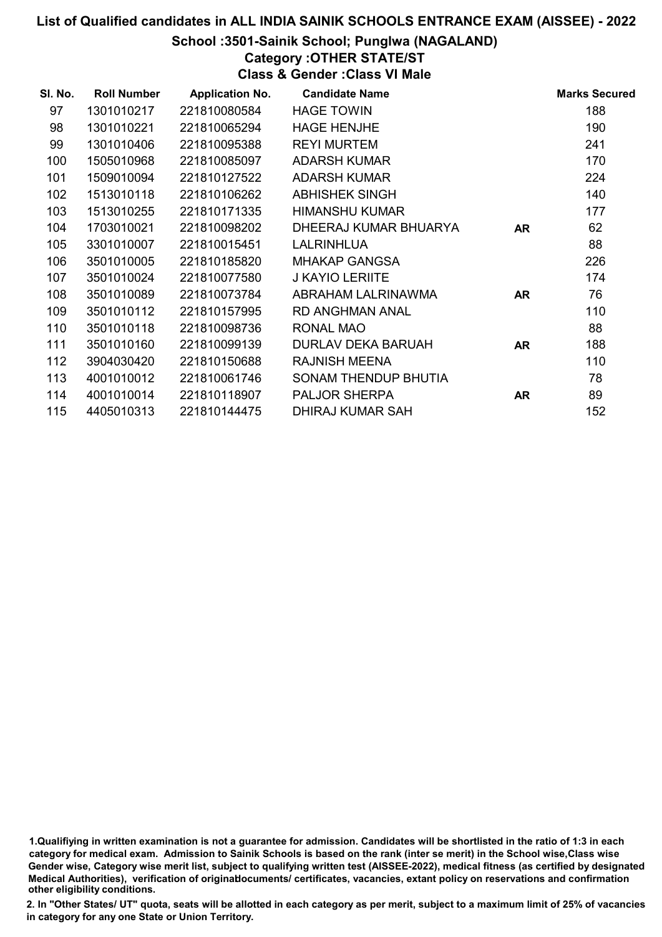#### School :3501-Sainik School; Punglwa (NAGALAND)

Category :OTHER STATE/ST

Class & Gender :Class VI Male

| SI. No. | <b>Roll Number</b> | <b>Application No.</b> | <b>Candidate Name</b>   |           | <b>Marks Secured</b> |
|---------|--------------------|------------------------|-------------------------|-----------|----------------------|
| 97      | 1301010217         | 221810080584           | <b>HAGE TOWIN</b>       |           | 188                  |
| 98      | 1301010221         | 221810065294           | <b>HAGE HENJHE</b>      |           | 190                  |
| 99      | 1301010406         | 221810095388           | <b>REYI MURTEM</b>      |           | 241                  |
| 100     | 1505010968         | 221810085097           | <b>ADARSH KUMAR</b>     |           | 170                  |
| 101     | 1509010094         | 221810127522           | <b>ADARSH KUMAR</b>     |           | 224                  |
| 102     | 1513010118         | 221810106262           | <b>ABHISHEK SINGH</b>   |           | 140                  |
| 103     | 1513010255         | 221810171335           | HIMANSHU KUMAR          |           | 177                  |
| 104     | 1703010021         | 221810098202           | DHEERAJ KUMAR BHUARYA   | <b>AR</b> | 62                   |
| 105     | 3301010007         | 221810015451           | <b>LALRINHLUA</b>       |           | 88                   |
| 106     | 3501010005         | 221810185820           | <b>MHAKAP GANGSA</b>    |           | 226                  |
| 107     | 3501010024         | 221810077580           | <b>J KAYIO LERIITE</b>  |           | 174                  |
| 108     | 3501010089         | 221810073784           | ABRAHAM LALRINAWMA      | AR.       | 76                   |
| 109     | 3501010112         | 221810157995           | RD ANGHMAN ANAL         |           | 110                  |
| 110     | 3501010118         | 221810098736           | RONAL MAO               |           | 88                   |
| 111     | 3501010160         | 221810099139           | DURLAV DEKA BARUAH      | <b>AR</b> | 188                  |
| 112     | 3904030420         | 221810150688           | <b>RAJNISH MEENA</b>    |           | 110                  |
| 113     | 4001010012         | 221810061746           | SONAM THENDUP BHUTIA    |           | 78                   |
| 114     | 4001010014         | 221810118907           | <b>PALJOR SHERPA</b>    | AR        | 89                   |
| 115     | 4405010313         | 221810144475           | <b>DHIRAJ KUMAR SAH</b> |           | 152                  |

1.Qualifiying in written examination is not a guarantee for admission. Candidates will be shortlisted in the ratio of 1:3 in each category for medical exam. Admission to Sainik Schools is based on the rank (inter se merit) in the School wise,Class wise Gender wise, Category wise merit list, subject to qualifying written test (AISSEE-2022), medical fitness (as certified by designated Medical Authorities), verification of originablocuments/ certificates, vacancies, extant policy on reservations and confirmation other eligibility conditions.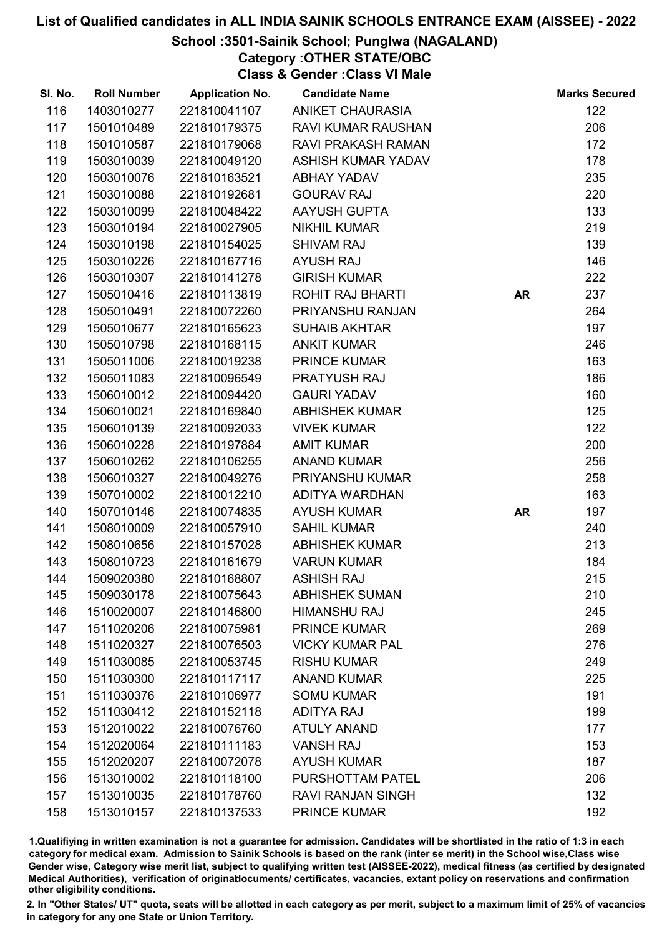#### School :3501-Sainik School; Punglwa (NAGALAND)

Category :OTHER STATE/OBC

Class & Gender :Class VI Male

| SI. No. | <b>Roll Number</b> | <b>Application No.</b> | <b>Candidate Name</b>     |           | <b>Marks Secured</b> |
|---------|--------------------|------------------------|---------------------------|-----------|----------------------|
| 116     | 1403010277         | 221810041107           | <b>ANIKET CHAURASIA</b>   |           | 122                  |
| 117     | 1501010489         | 221810179375           | <b>RAVI KUMAR RAUSHAN</b> |           | 206                  |
| 118     | 1501010587         | 221810179068           | RAVI PRAKASH RAMAN        |           | 172                  |
| 119     | 1503010039         | 221810049120           | <b>ASHISH KUMAR YADAV</b> |           | 178                  |
| 120     | 1503010076         | 221810163521           | <b>ABHAY YADAV</b>        |           | 235                  |
| 121     | 1503010088         | 221810192681           | <b>GOURAV RAJ</b>         |           | 220                  |
| 122     | 1503010099         | 221810048422           | <b>AAYUSH GUPTA</b>       |           | 133                  |
| 123     | 1503010194         | 221810027905           | <b>NIKHIL KUMAR</b>       |           | 219                  |
| 124     | 1503010198         | 221810154025           | <b>SHIVAM RAJ</b>         |           | 139                  |
| 125     | 1503010226         | 221810167716           | <b>AYUSH RAJ</b>          |           | 146                  |
| 126     | 1503010307         | 221810141278           | <b>GIRISH KUMAR</b>       |           | 222                  |
| 127     | 1505010416         | 221810113819           | <b>ROHIT RAJ BHARTI</b>   | <b>AR</b> | 237                  |
| 128     | 1505010491         | 221810072260           | PRIYANSHU RANJAN          |           | 264                  |
| 129     | 1505010677         | 221810165623           | <b>SUHAIB AKHTAR</b>      |           | 197                  |
| 130     | 1505010798         | 221810168115           | <b>ANKIT KUMAR</b>        |           | 246                  |
| 131     | 1505011006         | 221810019238           | PRINCE KUMAR              |           | 163                  |
| 132     | 1505011083         | 221810096549           | PRATYUSH RAJ              |           | 186                  |
| 133     | 1506010012         | 221810094420           | <b>GAURI YADAV</b>        |           | 160                  |
| 134     | 1506010021         | 221810169840           | <b>ABHISHEK KUMAR</b>     |           | 125                  |
| 135     | 1506010139         | 221810092033           | <b>VIVEK KUMAR</b>        |           | 122                  |
| 136     | 1506010228         | 221810197884           | <b>AMIT KUMAR</b>         |           | 200                  |
| 137     | 1506010262         | 221810106255           | <b>ANAND KUMAR</b>        |           | 256                  |
| 138     | 1506010327         | 221810049276           | PRIYANSHU KUMAR           |           | 258                  |
| 139     | 1507010002         | 221810012210           | <b>ADITYA WARDHAN</b>     |           | 163                  |
| 140     | 1507010146         | 221810074835           | <b>AYUSH KUMAR</b>        | <b>AR</b> | 197                  |
| 141     | 1508010009         | 221810057910           | <b>SAHIL KUMAR</b>        |           | 240                  |
| 142     | 1508010656         | 221810157028           | <b>ABHISHEK KUMAR</b>     |           | 213                  |
| 143     | 1508010723         | 221810161679           | <b>VARUN KUMAR</b>        |           | 184                  |
| 144     | 1509020380         | 221810168807           | <b>ASHISH RAJ</b>         |           | 215                  |
| 145     | 1509030178         | 221810075643           | <b>ABHISHEK SUMAN</b>     |           | 210                  |
| 146     | 1510020007         | 221810146800           | <b>HIMANSHU RAJ</b>       |           | 245                  |
| 147     | 1511020206         | 221810075981           | <b>PRINCE KUMAR</b>       |           | 269                  |
| 148     | 1511020327         | 221810076503           | <b>VICKY KUMAR PAL</b>    |           | 276                  |
| 149     | 1511030085         | 221810053745           | <b>RISHU KUMAR</b>        |           | 249                  |
| 150     | 1511030300         | 221810117117           | <b>ANAND KUMAR</b>        |           | 225                  |
| 151     | 1511030376         | 221810106977           | <b>SOMU KUMAR</b>         |           | 191                  |
| 152     | 1511030412         | 221810152118           | ADITYA RAJ                |           | 199                  |
| 153     | 1512010022         | 221810076760           | <b>ATULY ANAND</b>        |           | 177                  |
| 154     | 1512020064         | 221810111183           | <b>VANSH RAJ</b>          |           | 153                  |
| 155     | 1512020207         | 221810072078           | <b>AYUSH KUMAR</b>        |           | 187                  |
| 156     | 1513010002         | 221810118100           | PURSHOTTAM PATEL          |           | 206                  |
| 157     | 1513010035         | 221810178760           | <b>RAVI RANJAN SINGH</b>  |           | 132                  |
| 158     | 1513010157         | 221810137533           | <b>PRINCE KUMAR</b>       |           | 192                  |

1.Qualifiying in written examination is not a guarantee for admission. Candidates will be shortlisted in the ratio of 1:3 in each category for medical exam. Admission to Sainik Schools is based on the rank (inter se merit) in the School wise,Class wise Gender wise, Category wise merit list, subject to qualifying written test (AISSEE-2022), medical fitness (as certified by designated Medical Authorities), verification of originablocuments/ certificates, vacancies, extant policy on reservations and confirmation other eligibility conditions.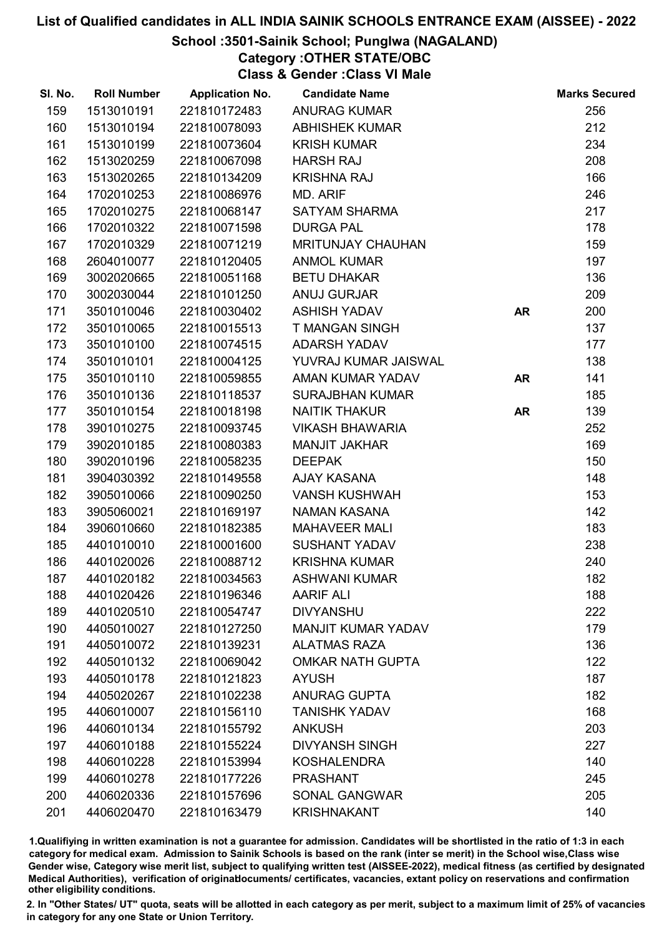#### School :3501-Sainik School; Punglwa (NAGALAND)

Category :OTHER STATE/OBC

Class & Gender :Class VI Male

| SI. No. | <b>Roll Number</b> | <b>Application No.</b> | <b>Candidate Name</b>     |           | <b>Marks Secured</b> |
|---------|--------------------|------------------------|---------------------------|-----------|----------------------|
| 159     | 1513010191         | 221810172483           | <b>ANURAG KUMAR</b>       |           | 256                  |
| 160     | 1513010194         | 221810078093           | <b>ABHISHEK KUMAR</b>     |           | 212                  |
| 161     | 1513010199         | 221810073604           | <b>KRISH KUMAR</b>        |           | 234                  |
| 162     | 1513020259         | 221810067098           | <b>HARSH RAJ</b>          |           | 208                  |
| 163     | 1513020265         | 221810134209           | <b>KRISHNA RAJ</b>        |           | 166                  |
| 164     | 1702010253         | 221810086976           | MD. ARIF                  |           | 246                  |
| 165     | 1702010275         | 221810068147           | <b>SATYAM SHARMA</b>      |           | 217                  |
| 166     | 1702010322         | 221810071598           | <b>DURGA PAL</b>          |           | 178                  |
| 167     | 1702010329         | 221810071219           | <b>MRITUNJAY CHAUHAN</b>  |           | 159                  |
| 168     | 2604010077         | 221810120405           | <b>ANMOL KUMAR</b>        |           | 197                  |
| 169     | 3002020665         | 221810051168           | <b>BETU DHAKAR</b>        |           | 136                  |
| 170     | 3002030044         | 221810101250           | <b>ANUJ GURJAR</b>        |           | 209                  |
| 171     | 3501010046         | 221810030402           | <b>ASHISH YADAV</b>       | <b>AR</b> | 200                  |
| 172     | 3501010065         | 221810015513           | T MANGAN SINGH            |           | 137                  |
| 173     | 3501010100         | 221810074515           | <b>ADARSH YADAV</b>       |           | 177                  |
| 174     | 3501010101         | 221810004125           | YUVRAJ KUMAR JAISWAL      |           | 138                  |
| 175     | 3501010110         | 221810059855           | AMAN KUMAR YADAV          | <b>AR</b> | 141                  |
| 176     | 3501010136         | 221810118537           | <b>SURAJBHAN KUMAR</b>    |           | 185                  |
| 177     | 3501010154         | 221810018198           | <b>NAITIK THAKUR</b>      | <b>AR</b> | 139                  |
| 178     | 3901010275         | 221810093745           | <b>VIKASH BHAWARIA</b>    |           | 252                  |
| 179     | 3902010185         | 221810080383           | <b>MANJIT JAKHAR</b>      |           | 169                  |
| 180     | 3902010196         | 221810058235           | <b>DEEPAK</b>             |           | 150                  |
| 181     | 3904030392         | 221810149558           | <b>AJAY KASANA</b>        |           | 148                  |
| 182     | 3905010066         | 221810090250           | <b>VANSH KUSHWAH</b>      |           | 153                  |
| 183     | 3905060021         | 221810169197           | NAMAN KASANA              |           | 142                  |
| 184     | 3906010660         | 221810182385           | <b>MAHAVEER MALI</b>      |           | 183                  |
| 185     | 4401010010         | 221810001600           | <b>SUSHANT YADAV</b>      |           | 238                  |
| 186     | 4401020026         | 221810088712           | <b>KRISHNA KUMAR</b>      |           | 240                  |
| 187     | 4401020182         | 221810034563           | <b>ASHWANI KUMAR</b>      |           | 182                  |
| 188     | 4401020426         | 221810196346           | <b>AARIF ALI</b>          |           | 188                  |
| 189     | 4401020510         | 221810054747           | <b>DIVYANSHU</b>          |           | 222                  |
| 190     | 4405010027         | 221810127250           | <b>MANJIT KUMAR YADAV</b> |           | 179                  |
| 191     | 4405010072         | 221810139231           | <b>ALATMAS RAZA</b>       |           | 136                  |
| 192     | 4405010132         | 221810069042           | <b>OMKAR NATH GUPTA</b>   |           | 122                  |
| 193     | 4405010178         | 221810121823           | <b>AYUSH</b>              |           | 187                  |
| 194     | 4405020267         | 221810102238           | <b>ANURAG GUPTA</b>       |           | 182                  |
| 195     | 4406010007         | 221810156110           | <b>TANISHK YADAV</b>      |           | 168                  |
| 196     | 4406010134         | 221810155792           | <b>ANKUSH</b>             |           | 203                  |
| 197     | 4406010188         | 221810155224           | <b>DIVYANSH SINGH</b>     |           | 227                  |
| 198     | 4406010228         | 221810153994           | <b>KOSHALENDRA</b>        |           | 140                  |
| 199     | 4406010278         | 221810177226           | <b>PRASHANT</b>           |           | 245                  |
| 200     | 4406020336         | 221810157696           | <b>SONAL GANGWAR</b>      |           | 205                  |
| 201     | 4406020470         | 221810163479           | <b>KRISHNAKANT</b>        |           | 140                  |

1.Qualifiying in written examination is not a guarantee for admission. Candidates will be shortlisted in the ratio of 1:3 in each category for medical exam. Admission to Sainik Schools is based on the rank (inter se merit) in the School wise,Class wise Gender wise, Category wise merit list, subject to qualifying written test (AISSEE-2022), medical fitness (as certified by designated Medical Authorities), verification of originablocuments/ certificates, vacancies, extant policy on reservations and confirmation other eligibility conditions.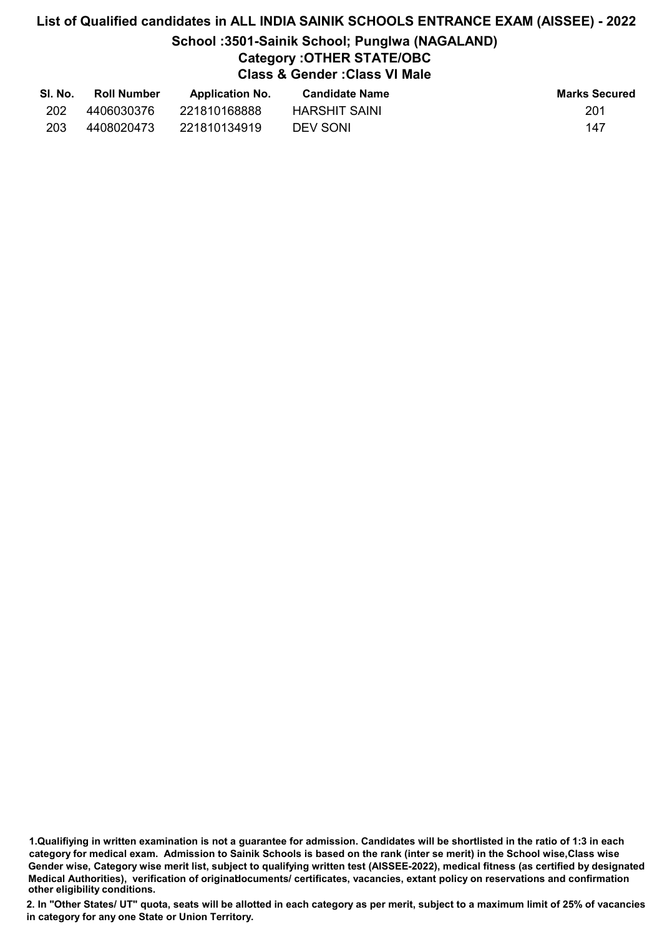# List of Qualified candidates in ALL INDIA SAINIK SCHOOLS ENTRANCE EXAM (AISSEE) - 2022 School :3501-Sainik School; Punglwa (NAGALAND) Category :OTHER STATE/OBC Class & Gender :Class VI Male

| SI. No. | <b>Roll Number</b> | <b>Application No.</b> | <b>Candidate Name</b> | Marks Secured |
|---------|--------------------|------------------------|-----------------------|---------------|
| 202     | 4406030376         | 221810168888           | HARSHIT SAINI         | 201           |
| 203     | 4408020473         | 221810134919           | DEV SONI              | 147           |

<sup>1.</sup>Qualifiying in written examination is not a guarantee for admission. Candidates will be shortlisted in the ratio of 1:3 in each category for medical exam. Admission to Sainik Schools is based on the rank (inter se merit) in the School wise,Class wise Gender wise, Category wise merit list, subject to qualifying written test (AISSEE-2022), medical fitness (as certified by designated Medical Authorities), verification of originablocuments/ certificates, vacancies, extant policy on reservations and confirmation other eligibility conditions.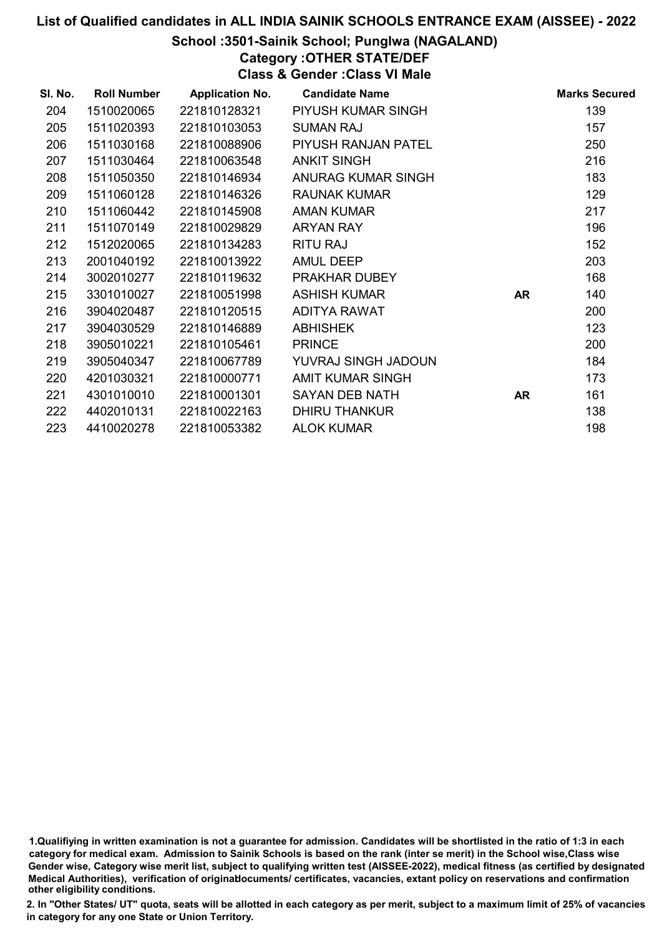#### School :3501-Sainik School; Punglwa (NAGALAND)

Category :OTHER STATE/DEF

Class & Gender :Class VI Male

| SI. No. | <b>Roll Number</b> | <b>Application No.</b> | <b>Candidate Name</b>   |           | <b>Marks Secured</b> |
|---------|--------------------|------------------------|-------------------------|-----------|----------------------|
| 204     | 1510020065         | 221810128321           | PIYUSH KUMAR SINGH      |           | 139                  |
| 205     | 1511020393         | 221810103053           | <b>SUMAN RAJ</b>        |           | 157                  |
| 206     | 1511030168         | 221810088906           | PIYUSH RANJAN PATEL     |           | 250                  |
| 207     | 1511030464         | 221810063548           | <b>ANKIT SINGH</b>      |           | 216                  |
| 208     | 1511050350         | 221810146934           | ANURAG KUMAR SINGH      |           | 183                  |
| 209     | 1511060128         | 221810146326           | <b>RAUNAK KUMAR</b>     |           | 129                  |
| 210     | 1511060442         | 221810145908           | <b>AMAN KUMAR</b>       |           | 217                  |
| 211     | 1511070149         | 221810029829           | <b>ARYAN RAY</b>        |           | 196                  |
| 212     | 1512020065         | 221810134283           | <b>RITU RAJ</b>         |           | 152                  |
| 213     | 2001040192         | 221810013922           | <b>AMUL DEEP</b>        |           | 203                  |
| 214     | 3002010277         | 221810119632           | <b>PRAKHAR DUBEY</b>    |           | 168                  |
| 215     | 3301010027         | 221810051998           | <b>ASHISH KUMAR</b>     | <b>AR</b> | 140                  |
| 216     | 3904020487         | 221810120515           | ADITYA RAWAT            |           | 200                  |
| 217     | 3904030529         | 221810146889           | <b>ABHISHEK</b>         |           | 123                  |
| 218     | 3905010221         | 221810105461           | <b>PRINCE</b>           |           | 200                  |
| 219     | 3905040347         | 221810067789           | YUVRAJ SINGH JADOUN     |           | 184                  |
| 220     | 4201030321         | 221810000771           | <b>AMIT KUMAR SINGH</b> |           | 173                  |
| 221     | 4301010010         | 221810001301           | <b>SAYAN DEB NATH</b>   | <b>AR</b> | 161                  |
| 222     | 4402010131         | 221810022163           | <b>DHIRU THANKUR</b>    |           | 138                  |
| 223     | 4410020278         | 221810053382           | <b>ALOK KUMAR</b>       |           | 198                  |

1.Qualifiying in written examination is not a guarantee for admission. Candidates will be shortlisted in the ratio of 1:3 in each category for medical exam. Admission to Sainik Schools is based on the rank (inter se merit) in the School wise,Class wise Gender wise, Category wise merit list, subject to qualifying written test (AISSEE-2022), medical fitness (as certified by designated Medical Authorities), verification of originablocuments/ certificates, vacancies, extant policy on reservations and confirmation other eligibility conditions.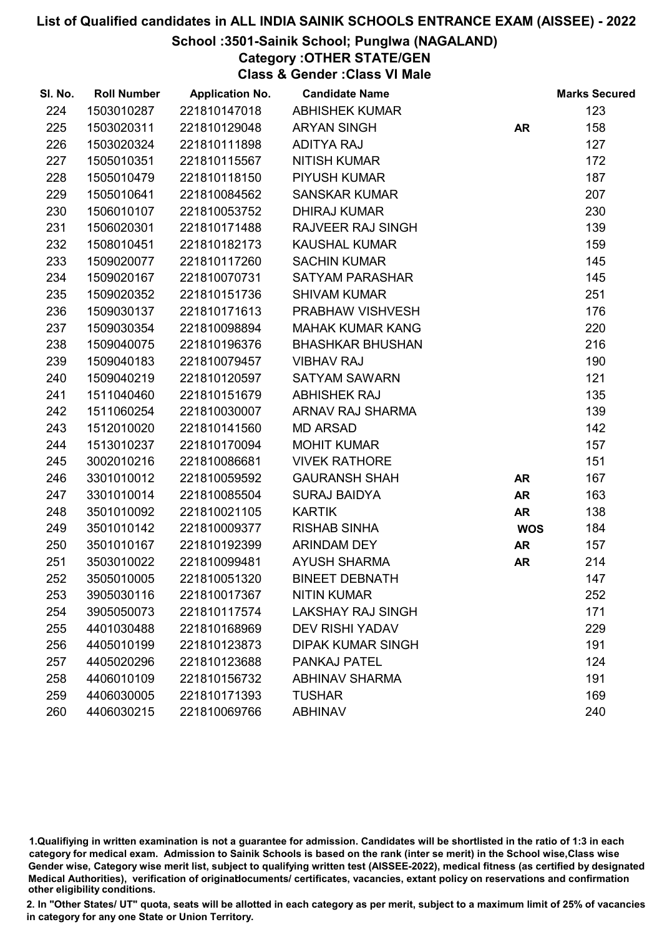#### School :3501-Sainik School; Punglwa (NAGALAND)

Category :OTHER STATE/GEN

Class & Gender :Class VI Male

| SI. No. | <b>Roll Number</b> | <b>Application No.</b> | <b>Candidate Name</b>    |            | <b>Marks Secured</b> |
|---------|--------------------|------------------------|--------------------------|------------|----------------------|
| 224     | 1503010287         | 221810147018           | <b>ABHISHEK KUMAR</b>    |            | 123                  |
| 225     | 1503020311         | 221810129048           | <b>ARYAN SINGH</b>       | <b>AR</b>  | 158                  |
| 226     | 1503020324         | 221810111898           | <b>ADITYA RAJ</b>        |            | 127                  |
| 227     | 1505010351         | 221810115567           | <b>NITISH KUMAR</b>      |            | 172                  |
| 228     | 1505010479         | 221810118150           | PIYUSH KUMAR             |            | 187                  |
| 229     | 1505010641         | 221810084562           | <b>SANSKAR KUMAR</b>     |            | 207                  |
| 230     | 1506010107         | 221810053752           | <b>DHIRAJ KUMAR</b>      |            | 230                  |
| 231     | 1506020301         | 221810171488           | <b>RAJVEER RAJ SINGH</b> |            | 139                  |
| 232     | 1508010451         | 221810182173           | <b>KAUSHAL KUMAR</b>     |            | 159                  |
| 233     | 1509020077         | 221810117260           | <b>SACHIN KUMAR</b>      |            | 145                  |
| 234     | 1509020167         | 221810070731           | <b>SATYAM PARASHAR</b>   |            | 145                  |
| 235     | 1509020352         | 221810151736           | <b>SHIVAM KUMAR</b>      |            | 251                  |
| 236     | 1509030137         | 221810171613           | PRABHAW VISHVESH         |            | 176                  |
| 237     | 1509030354         | 221810098894           | <b>MAHAK KUMAR KANG</b>  |            | 220                  |
| 238     | 1509040075         | 221810196376           | <b>BHASHKAR BHUSHAN</b>  |            | 216                  |
| 239     | 1509040183         | 221810079457           | <b>VIBHAV RAJ</b>        |            | 190                  |
| 240     | 1509040219         | 221810120597           | <b>SATYAM SAWARN</b>     |            | 121                  |
| 241     | 1511040460         | 221810151679           | <b>ABHISHEK RAJ</b>      |            | 135                  |
| 242     | 1511060254         | 221810030007           | ARNAV RAJ SHARMA         |            | 139                  |
| 243     | 1512010020         | 221810141560           | <b>MD ARSAD</b>          |            | 142                  |
| 244     | 1513010237         | 221810170094           | <b>MOHIT KUMAR</b>       |            | 157                  |
| 245     | 3002010216         | 221810086681           | <b>VIVEK RATHORE</b>     |            | 151                  |
| 246     | 3301010012         | 221810059592           | <b>GAURANSH SHAH</b>     | <b>AR</b>  | 167                  |
| 247     | 3301010014         | 221810085504           | <b>SURAJ BAIDYA</b>      | <b>AR</b>  | 163                  |
| 248     | 3501010092         | 221810021105           | <b>KARTIK</b>            | <b>AR</b>  | 138                  |
| 249     | 3501010142         | 221810009377           | <b>RISHAB SINHA</b>      | <b>WOS</b> | 184                  |
| 250     | 3501010167         | 221810192399           | ARINDAM DEY              | <b>AR</b>  | 157                  |
| 251     | 3503010022         | 221810099481           | <b>AYUSH SHARMA</b>      | <b>AR</b>  | 214                  |
| 252     | 3505010005         | 221810051320           | <b>BINEET DEBNATH</b>    |            | 147                  |
| 253     | 3905030116         | 221810017367           | <b>NITIN KUMAR</b>       |            | 252                  |
| 254     | 3905050073         | 221810117574           | <b>LAKSHAY RAJ SINGH</b> |            | 171                  |
| 255     | 4401030488         | 221810168969           | <b>DEV RISHI YADAV</b>   |            | 229                  |
| 256     | 4405010199         | 221810123873           | <b>DIPAK KUMAR SINGH</b> |            | 191                  |
| 257     | 4405020296         | 221810123688           | <b>PANKAJ PATEL</b>      |            | 124                  |
| 258     | 4406010109         | 221810156732           | <b>ABHINAV SHARMA</b>    |            | 191                  |
| 259     | 4406030005         | 221810171393           | <b>TUSHAR</b>            |            | 169                  |
| 260     | 4406030215         | 221810069766           | <b>ABHINAV</b>           |            | 240                  |

1.Qualifiying in written examination is not a guarantee for admission. Candidates will be shortlisted in the ratio of 1:3 in each category for medical exam. Admission to Sainik Schools is based on the rank (inter se merit) in the School wise,Class wise Gender wise, Category wise merit list, subject to qualifying written test (AISSEE-2022), medical fitness (as certified by designated Medical Authorities), verification of originablocuments/ certificates, vacancies, extant policy on reservations and confirmation other eligibility conditions.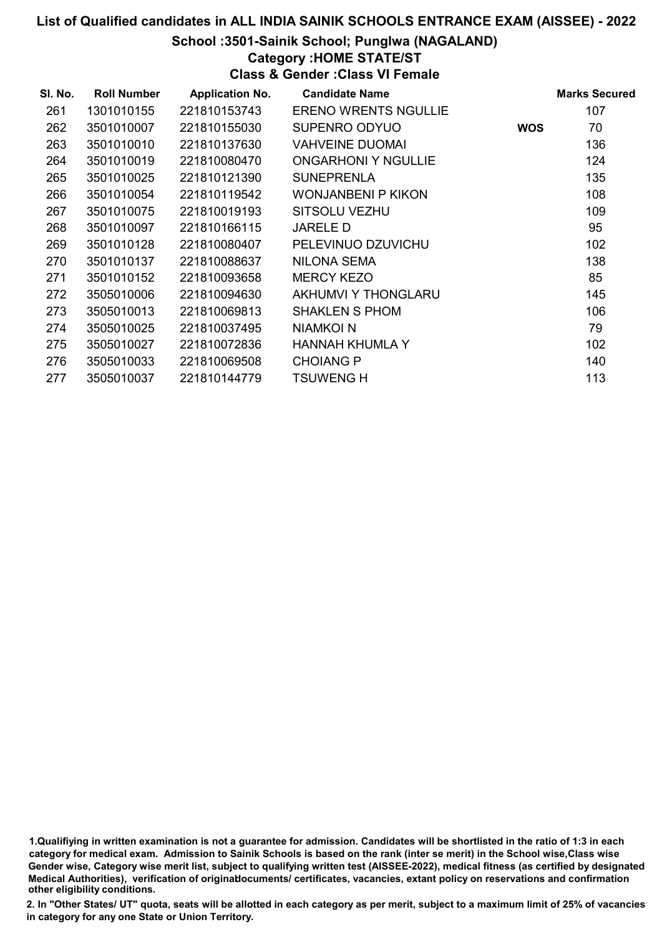#### School :3501-Sainik School; Punglwa (NAGALAND)

Category :HOME STATE/ST

Class & Gender :Class VI Female

| SI. No. | <b>Roll Number</b> | <b>Application No.</b> | <b>Candidate Name</b>       |            | <b>Marks Secured</b> |
|---------|--------------------|------------------------|-----------------------------|------------|----------------------|
| 261     | 1301010155         | 221810153743           | <b>ERENO WRENTS NGULLIE</b> |            | 107                  |
| 262     | 3501010007         | 221810155030           | SUPENRO ODYUO               | <b>WOS</b> | 70                   |
| 263     | 3501010010         | 221810137630           | <b>VAHVEINE DUOMAI</b>      |            | 136                  |
| 264     | 3501010019         | 221810080470           | <b>ONGARHONI Y NGULLIE</b>  |            | 124                  |
| 265     | 3501010025         | 221810121390           | <b>SUNEPRENLA</b>           |            | 135                  |
| 266     | 3501010054         | 221810119542           | <b>WONJANBENI P KIKON</b>   |            | 108                  |
| 267     | 3501010075         | 221810019193           | <b>SITSOLU VEZHU</b>        |            | 109                  |
| 268     | 3501010097         | 221810166115           | <b>JARELE D</b>             |            | 95                   |
| 269     | 3501010128         | 221810080407           | PELEVINUO DZUVICHU          |            | 102                  |
| 270     | 3501010137         | 221810088637           | <b>NILONA SEMA</b>          |            | 138                  |
| 271     | 3501010152         | 221810093658           | <b>MERCY KEZO</b>           |            | 85                   |
| 272     | 3505010006         | 221810094630           | AKHUMVI Y THONGLARU         |            | 145                  |
| 273     | 3505010013         | 221810069813           | <b>SHAKLEN S PHOM</b>       |            | 106                  |
| 274     | 3505010025         | 221810037495           | NIAMKOI N                   |            | 79                   |
| 275     | 3505010027         | 221810072836           | HANNAH KHUMLA Y             |            | 102                  |
| 276     | 3505010033         | 221810069508           | <b>CHOIANG P</b>            |            | 140                  |
| 277     | 3505010037         | 221810144779           | <b>TSUWENG H</b>            |            | 113                  |

<sup>1.</sup>Qualifiying in written examination is not a guarantee for admission. Candidates will be shortlisted in the ratio of 1:3 in each category for medical exam. Admission to Sainik Schools is based on the rank (inter se merit) in the School wise,Class wise Gender wise, Category wise merit list, subject to qualifying written test (AISSEE-2022), medical fitness (as certified by designated Medical Authorities), verification of originablocuments/ certificates, vacancies, extant policy on reservations and confirmation other eligibility conditions.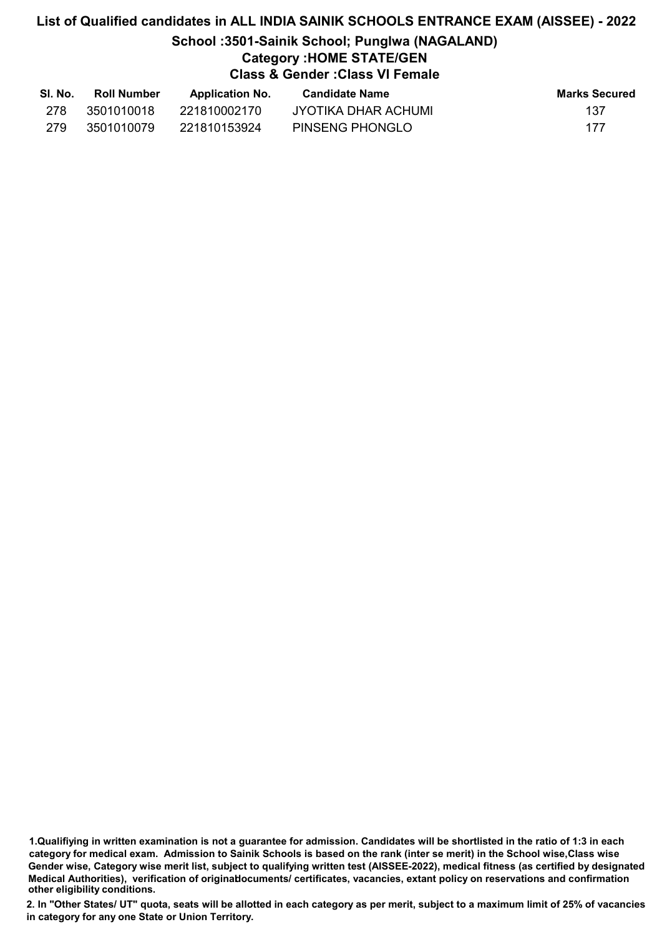#### List of Qualified candidates in ALL INDIA SAINIK SCHOOLS ENTRANCE EXAM (AISSEE) - 2022 School :3501-Sainik School; Punglwa (NAGALAND) Category :HOME STATE/GEN Class & Gender :Class VI Female

|                 | Class & Gender :Class VI Female |  |
|-----------------|---------------------------------|--|
| Annlication No. | Candidato Namo                  |  |

| SI. No. | <b>Roll Number</b> | <b>Application No.</b> | <b>Candidate Name</b> | <b>Marks Secured</b> |
|---------|--------------------|------------------------|-----------------------|----------------------|
| 278.    | 3501010018         | 221810002170           | JYOTIKA DHAR ACHUMI   | 137                  |
| 279.    | 3501010079         | 221810153924           | PINSENG PHONGLO       | 177                  |

<sup>1.</sup>Qualifiying in written examination is not a guarantee for admission. Candidates will be shortlisted in the ratio of 1:3 in each category for medical exam. Admission to Sainik Schools is based on the rank (inter se merit) in the School wise,Class wise Gender wise, Category wise merit list, subject to qualifying written test (AISSEE-2022), medical fitness (as certified by designated Medical Authorities), verification of originablocuments/ certificates, vacancies, extant policy on reservations and confirmation other eligibility conditions.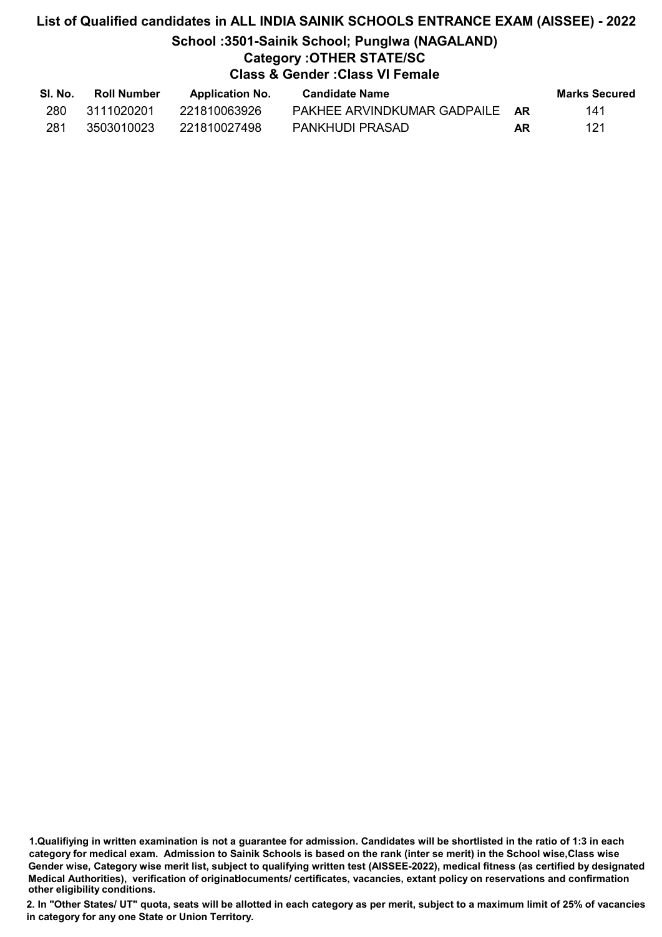# List of Qualified candidates in ALL INDIA SAINIK SCHOOLS ENTRANCE EXAM (AISSEE) - 2022 School :3501-Sainik School; Punglwa (NAGALAND) Category :OTHER STATE/SC Class & Gender :Class VI Female

| SI. No. | <b>Roll Number</b> | <b>Application No.</b> | <b>Candidate Name</b>          |    | <b>Marks Secured</b> |
|---------|--------------------|------------------------|--------------------------------|----|----------------------|
| 280.    | 3111020201         | 221810063926           | PAKHEE ARVINDKUMAR GADPAILE AR |    | 141                  |
| 281     | 3503010023         | 221810027498           | PANKHUDI PRASAD                | AR | 121                  |

<sup>1.</sup>Qualifiying in written examination is not a guarantee for admission. Candidates will be shortlisted in the ratio of 1:3 in each category for medical exam. Admission to Sainik Schools is based on the rank (inter se merit) in the School wise,Class wise Gender wise, Category wise merit list, subject to qualifying written test (AISSEE-2022), medical fitness (as certified by designated Medical Authorities), verification of originablocuments/ certificates, vacancies, extant policy on reservations and confirmation other eligibility conditions.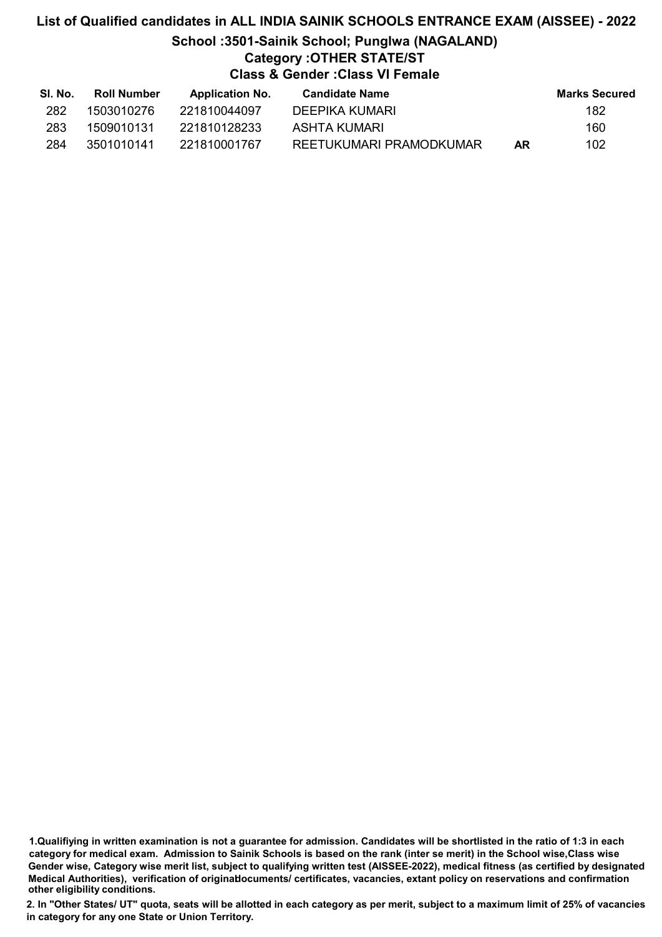# List of Qualified candidates in ALL INDIA SAINIK SCHOOLS ENTRANCE EXAM (AISSEE) - 2022 School :3501-Sainik School; Punglwa (NAGALAND) Category :OTHER STATE/ST Class & Gender :Class VI Female

| SI. No. | Roll Number | <b>Application No.</b> | Candidate Name          |           | <b>Marks Secured</b> |
|---------|-------------|------------------------|-------------------------|-----------|----------------------|
| 282     | 1503010276  | 221810044097           | DEEPIKA KUMARI          |           | 182                  |
| 283     | 1509010131  | 221810128233           | ASHTA KUMARI            |           | 160                  |
| 284     | 3501010141  | 221810001767           | REETUKUMARI PRAMODKUMAR | <b>AR</b> | 102                  |

1.Qualifiying in written examination is not a guarantee for admission. Candidates will be shortlisted in the ratio of 1:3 in each category for medical exam. Admission to Sainik Schools is based on the rank (inter se merit) in the School wise,Class wise Gender wise, Category wise merit list, subject to qualifying written test (AISSEE-2022), medical fitness (as certified by designated Medical Authorities), verification of originablocuments/ certificates, vacancies, extant policy on reservations and confirmation other eligibility conditions.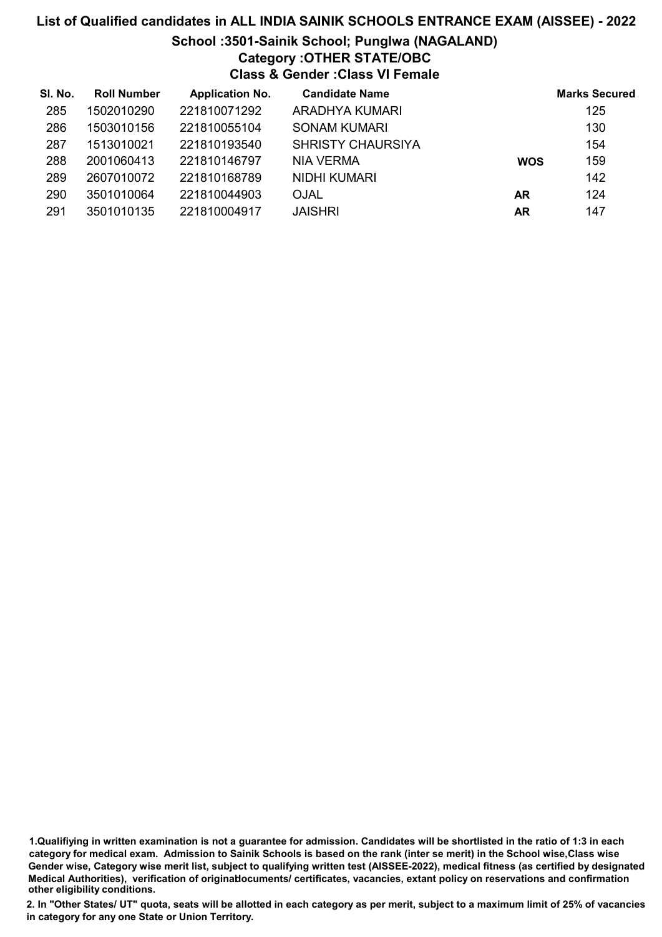### List of Qualified candidates in ALL INDIA SAINIK SCHOOLS ENTRANCE EXAM (AISSEE) - 2022 School :3501-Sainik School; Punglwa (NAGALAND) Category :OTHER STATE/OBC Class & Gender :Class VI Female

| SI. No. | <b>Roll Number</b> | <b>Application No.</b> | <b>Candidate Name</b>    |            | <b>Marks Secured</b> |
|---------|--------------------|------------------------|--------------------------|------------|----------------------|
| 285     | 1502010290         | 221810071292           | <b>ARADHYA KUMARI</b>    |            | 125                  |
| 286     | 1503010156         | 221810055104           | <b>SONAM KUMARI</b>      |            | 130                  |
| 287     | 1513010021         | 221810193540           | <b>SHRISTY CHAURSIYA</b> |            | 154                  |
| 288     | 2001060413         | 221810146797           | <b>NIA VERMA</b>         | <b>WOS</b> | 159                  |
| 289     | 2607010072         | 221810168789           | <b>NIDHI KUMARI</b>      |            | 142                  |
| 290     | 3501010064         | 221810044903           | <b>OJAL</b>              | AR         | 124                  |
| 291     | 3501010135         | 221810004917           | <b>JAISHRI</b>           | AR         | 147                  |

<sup>1.</sup>Qualifiying in written examination is not a guarantee for admission. Candidates will be shortlisted in the ratio of 1:3 in each category for medical exam. Admission to Sainik Schools is based on the rank (inter se merit) in the School wise,Class wise Gender wise, Category wise merit list, subject to qualifying written test (AISSEE-2022), medical fitness (as certified by designated Medical Authorities), verification of originablocuments/ certificates, vacancies, extant policy on reservations and confirmation other eligibility conditions.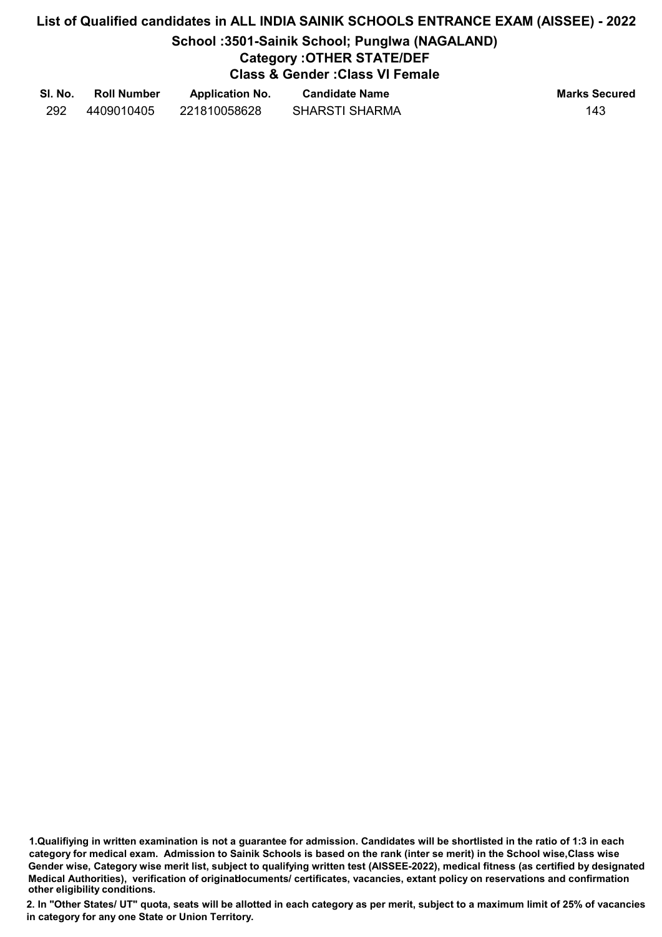# School :3501-Sainik School; Punglwa (NAGALAND)

## Category :OTHER STATE/DEF

Class & Gender :Class VI Female

| SI. No. | <b>Roll Number</b> | <b>Application No.</b> | <b>Candidate Name</b> | <b>Marks Secured</b> |
|---------|--------------------|------------------------|-----------------------|----------------------|
| 292     | 4409010405         | 221810058628           | <b>SHARSTI SHARMA</b> | 143                  |

<sup>1.</sup>Qualifiying in written examination is not a guarantee for admission. Candidates will be shortlisted in the ratio of 1:3 in each category for medical exam. Admission to Sainik Schools is based on the rank (inter se merit) in the School wise,Class wise Gender wise, Category wise merit list, subject to qualifying written test (AISSEE-2022), medical fitness (as certified by designated Medical Authorities), verification of originablocuments/ certificates, vacancies, extant policy on reservations and confirmation other eligibility conditions.